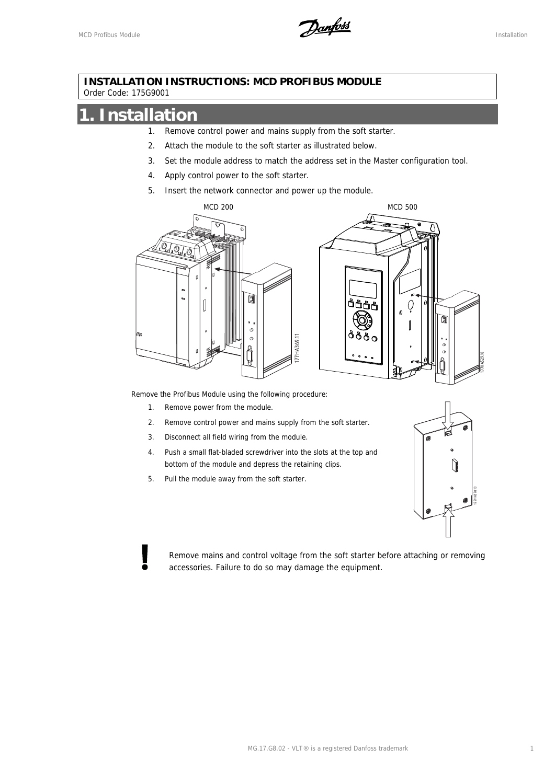MCD Profibus Module Installation

#### **INSTALLATION INSTRUCTIONS: MCD PROFIBUS MODULE**  Order Code: 175G9001

### **1. Installation**

- 1. Remove control power and mains supply from the soft starter.
- 2. Attach the module to the soft starter as illustrated below.
- 3. Set the module address to match the address set in the Master configuration tool.
- 4. Apply control power to the soft starter.
- 5. Insert the network connector and power up the module.



Remove the Profibus Module using the following procedure:

- 1. Remove power from the module.
- 2. Remove control power and mains supply from the soft starter.
- 3. Disconnect all field wiring from the module.
- 4. Push a small flat-bladed screwdriver into the slots at the top and bottom of the module and depress the retaining clips.
- 5. Pull the module away from the soft starter.



Remove mains and control voltage from the soft starter before attaching or removing accessories. Failure to do so may damage the equipment.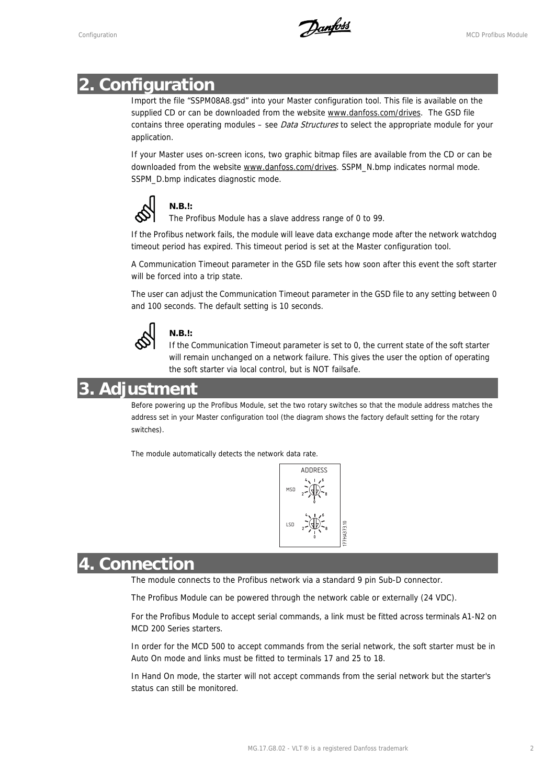Configuration MCD Profibus Module

#### **2. Configuration**

Import the file "SSPM08A8.gsd" into your Master configuration tool. This file is available on the supplied CD or can be downloaded from the website www.danfoss.com/drives. The GSD file contains three operating modules – see *Data Structures* to select the appropriate module for your application.

If your Master uses on-screen icons, two graphic bitmap files are available from the CD or can be downloaded from the website www.danfoss.com/drives. SSPM\_N.bmp indicates normal mode. SSPM\_D.bmp indicates diagnostic mode.



The Profibus Module has a slave address range of 0 to 99.

If the Profibus network fails, the module will leave data exchange mode after the network watchdog timeout period has expired. This timeout period is set at the Master configuration tool.

A Communication Timeout parameter in the GSD file sets how soon after this event the soft starter will be forced into a trip state.

The user can adjust the Communication Timeout parameter in the GSD file to any setting between 0 and 100 seconds. The default setting is 10 seconds.



#### **N.B.!:**

If the Communication Timeout parameter is set to 0, the current state of the soft starter will remain unchanged on a network failure. This gives the user the option of operating the soft starter via local control, but is NOT failsafe.

#### **3. Adjustment**

Before powering up the Profibus Module, set the two rotary switches so that the module address matches the address set in your Master configuration tool (the diagram shows the factory default setting for the rotary switches).

The module automatically detects the network data rate.



#### **4. Connection**

The module connects to the Profibus network via a standard 9 pin Sub-D connector.

The Profibus Module can be powered through the network cable or externally (24 VDC).

For the Profibus Module to accept serial commands, a link must be fitted across terminals A1-N2 on MCD 200 Series starters.

In order for the MCD 500 to accept commands from the serial network, the soft starter must be in Auto On mode and links must be fitted to terminals 17 and 25 to 18.

In Hand On mode, the starter will not accept commands from the serial network but the starter's status can still be monitored.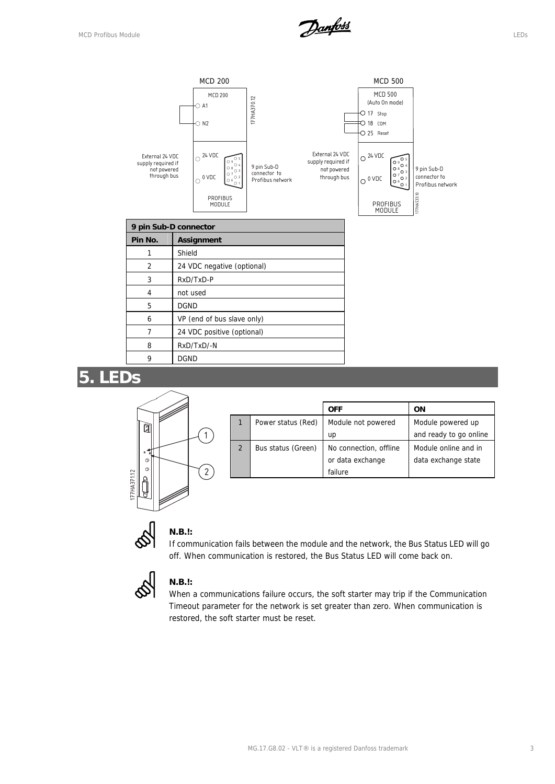

#### **5. LEDs**



|                |                    | <b>OFF</b>             | ON                     |
|----------------|--------------------|------------------------|------------------------|
|                | Power status (Red) | Module not powered     | Module powered up      |
|                |                    | up                     | and ready to go online |
| $\overline{2}$ | Bus status (Green) | No connection, offline | Module online and in   |
|                |                    | or data exchange       | data exchange state    |
|                |                    | failure                |                        |

#### **N.B.!:**

If communication fails between the module and the network, the Bus Status LED will go off. When communication is restored, the Bus Status LED will come back on.



#### **N.B.!:**

When a communications failure occurs, the soft starter may trip if the Communication Timeout parameter for the network is set greater than zero. When communication is restored, the soft starter must be reset.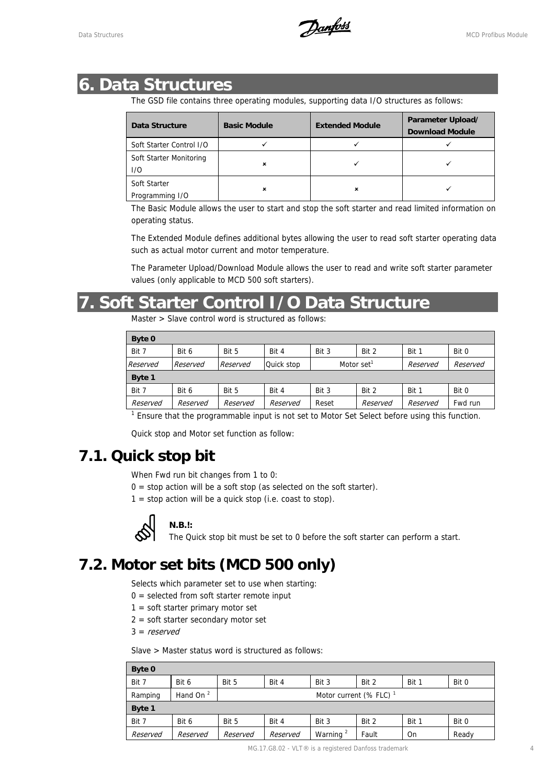### **6. Data Structures**

The GSD file contains three operating modules, supporting data I/O structures as follows:

| Data Structure           | <b>Basic Module</b> | <b>Extended Module</b> | Parameter Upload/<br><b>Download Module</b> |  |
|--------------------------|---------------------|------------------------|---------------------------------------------|--|
| Soft Starter Control I/O |                     |                        |                                             |  |
| Soft Starter Monitoring  |                     |                        |                                             |  |
| 1/O                      | ×                   |                        |                                             |  |
| Soft Starter             |                     |                        |                                             |  |
| Programming I/O          |                     | ×                      |                                             |  |

The Basic Module allows the user to start and stop the soft starter and read limited information on operating status.

The Extended Module defines additional bytes allowing the user to read soft starter operating data such as actual motor current and motor temperature.

The Parameter Upload/Download Module allows the user to read and write soft starter parameter values (only applicable to MCD 500 soft starters).

### **7. Soft Starter Control I/O Data Structure**

Master > Slave control word is structured as follows:

| Byte 0   |          |          |            |                        |          |          |          |
|----------|----------|----------|------------|------------------------|----------|----------|----------|
| Bit 7    | Bit 6    | Bit 5    | Bit 4      | Bit 3                  | Bit 2    | Bit 1    | Bit 0    |
| Reserved | Reserved | Reserved | Quick stop | Motor set <sup>1</sup> |          | Reserved | Reserved |
| Byte 1   |          |          |            |                        |          |          |          |
| Bit 7    | Bit 6    | Bit 5    | Bit 4      | Bit 3                  | Bit 2    | Bit 1    | Bit 0    |
| Reserved | Reserved | Reserved | Reserved   | Reset                  | Reserved | Reserved | Fwd run  |

 $1$  Ensure that the programmable input is not set to Motor Set Select before using this function.

Quick stop and Motor set function as follow:

#### **7.1. Quick stop bit**

When Fwd run bit changes from 1 to 0:

- $0 = stop$  action will be a soft stop (as selected on the soft starter).
- $1 = stop$  action will be a quick stop (i.e. coast to stop).



#### **N.B.!:**

The Quick stop bit must be set to 0 before the soft starter can perform a start.

### **7.2. Motor set bits (MCD 500 only)**

Selects which parameter set to use when starting:

- $0 =$  selected from soft starter remote input
- $1 =$  soft starter primary motor set
- 2 = soft starter secondary motor set
- $3 =$  reserved

Slave > Master status word is structured as follows:

| Byte 0   |             |          |                                    |                      |       |       |       |  |
|----------|-------------|----------|------------------------------------|----------------------|-------|-------|-------|--|
| Bit 7    | Bit 6       | Bit 5    | Bit 4                              | Bit 3                | Bit 2 | Bit 1 | Bit 0 |  |
| Ramping  | Hand On $2$ |          | Motor current (% FLC) <sup>1</sup> |                      |       |       |       |  |
| Byte 1   |             |          |                                    |                      |       |       |       |  |
| Bit 7    | Bit 6       | Bit 5    | Bit 4                              | Bit 3                | Bit 2 | Bit 1 | Bit 0 |  |
| Reserved | Reserved    | Reserved | Reserved                           | Warning <sup>2</sup> | Fault | On    | Ready |  |

MG.17.G8.02 - VLT® is a registered Danfoss trademark 4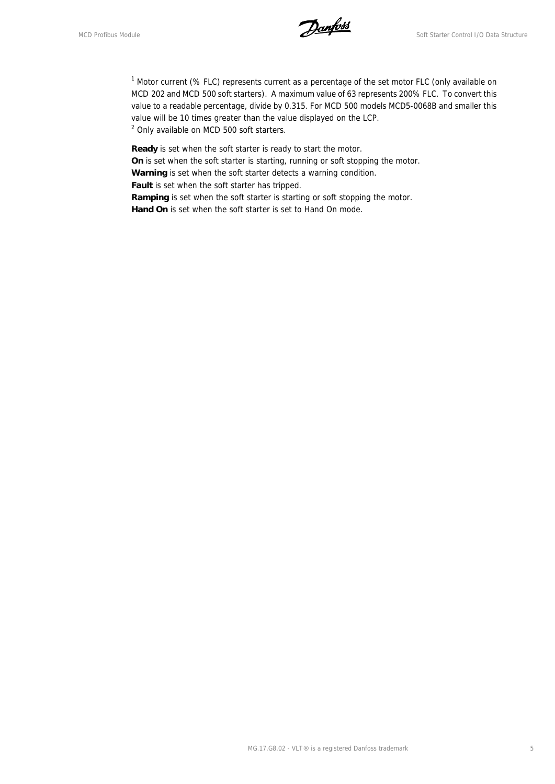MCD Profibus Module **Soft Starter Control I**/O Data Structure

<sup>1</sup> Motor current (% FLC) represents current as a percentage of the set motor FLC (only available on MCD 202 and MCD 500 soft starters). A maximum value of 63 represents 200% FLC. To convert this value to a readable percentage, divide by 0.315. For MCD 500 models MCD5-0068B and smaller this value will be 10 times greater than the value displayed on the LCP. <sup>2</sup> Only available on MCD 500 soft starters.

**Ready** is set when the soft starter is ready to start the motor.

**On** is set when the soft starter is starting, running or soft stopping the motor.

**Warning** is set when the soft starter detects a warning condition.

**Fault** is set when the soft starter has tripped.

Ramping is set when the soft starter is starting or soft stopping the motor. **Hand On** is set when the soft starter is set to Hand On mode.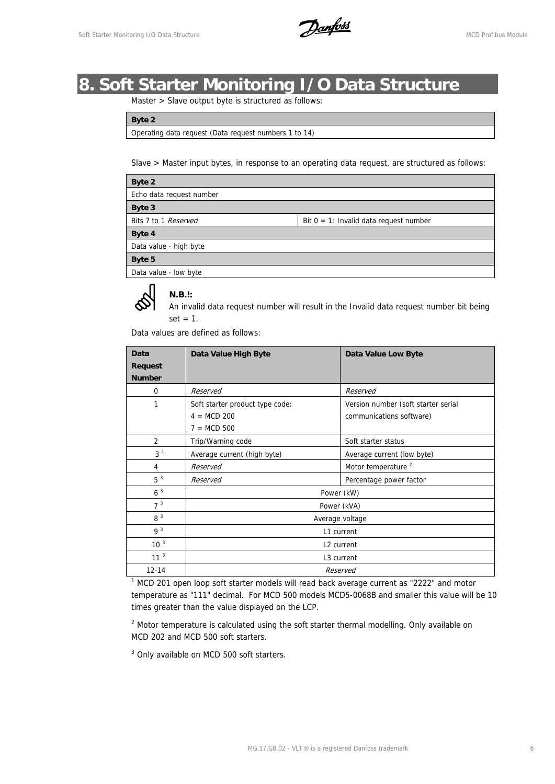Soft Starter Monitoring I/O Data Structure **Municipal Control of Automobile Control of Automobile McD** Profibus Module

### **8. Soft Starter Monitoring I/O Data Structure**

Master > Slave output byte is structured as follows:

**Byte 2** 

Operating data request (Data request numbers 1 to 14)

Slave > Master input bytes, in response to an operating data request, are structured as follows:

| Byte 2                   |                                           |  |  |  |  |  |
|--------------------------|-------------------------------------------|--|--|--|--|--|
| Echo data request number |                                           |  |  |  |  |  |
| Byte 3                   |                                           |  |  |  |  |  |
| Bits 7 to 1 Reserved     | Bit $0 = 1$ : Invalid data request number |  |  |  |  |  |
| Byte 4                   |                                           |  |  |  |  |  |
| Data value - high byte   |                                           |  |  |  |  |  |
| Byte 5                   |                                           |  |  |  |  |  |
| Data value - low byte    |                                           |  |  |  |  |  |

#### **N.B.!:**

An invalid data request number will result in the Invalid data request number bit being  $set = 1$ .

Data values are defined as follows:

| Data            | Data Value High Byte            | Data Value Low Byte                 |  |  |  |
|-----------------|---------------------------------|-------------------------------------|--|--|--|
| <b>Request</b>  |                                 |                                     |  |  |  |
| <b>Number</b>   |                                 |                                     |  |  |  |
| 0               | Reserved                        | Reserved                            |  |  |  |
| 1               | Soft starter product type code: | Version number (soft starter serial |  |  |  |
|                 | $4 = MCD 200$                   | communications software)            |  |  |  |
|                 | $7 = MCD 500$                   |                                     |  |  |  |
| $\overline{2}$  | Trip/Warning code               | Soft starter status                 |  |  |  |
| 3 <sup>1</sup>  | Average current (high byte)     | Average current (low byte)          |  |  |  |
| 4               | Reserved                        | Motor temperature <sup>2</sup>      |  |  |  |
| 5 <sup>3</sup>  | Reserved                        | Percentage power factor             |  |  |  |
| 6 <sup>3</sup>  |                                 | Power (kW)                          |  |  |  |
| 7 <sup>3</sup>  | Power (kVA)                     |                                     |  |  |  |
| 8 <sup>3</sup>  | Average voltage                 |                                     |  |  |  |
| 9 <sup>3</sup>  | L1 current                      |                                     |  |  |  |
| 10 <sup>3</sup> | L <sub>2</sub> current          |                                     |  |  |  |
| 11 <sup>3</sup> | L <sub>3</sub> current          |                                     |  |  |  |
| $12 - 14$       |                                 | Reserved                            |  |  |  |

 $1$  MCD 201 open loop soft starter models will read back average current as "2222" and motor temperature as "111" decimal. For MCD 500 models MCD5-0068B and smaller this value will be 10 times greater than the value displayed on the LCP.

 $2$  Motor temperature is calculated using the soft starter thermal modelling. Only available on MCD 202 and MCD 500 soft starters.

<sup>3</sup> Only available on MCD 500 soft starters.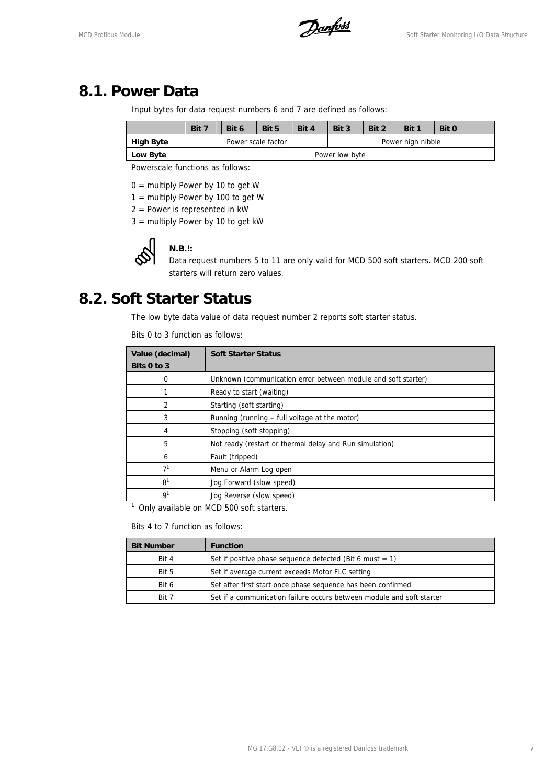#### **8.1. Power Data**

Input bytes for data request numbers 6 and 7 are defined as follows:

|                  | Bit 7              | Bit 6 | Bit 5          | Bit 4 | Bit 3             | Bit 2 | Bit 1 | Bit 0 |
|------------------|--------------------|-------|----------------|-------|-------------------|-------|-------|-------|
| <b>High Byte</b> | Power scale factor |       |                |       | Power high nibble |       |       |       |
| Low Byte         |                    |       | Power low byte |       |                   |       |       |       |

Powerscale functions as follows:

 $0 =$  multiply Power by 10 to get W

- 1 = multiply Power by 100 to get W
- $2 =$  Power is represented in kW
- 3 = multiply Power by 10 to get kW



#### **N.B.!:**

Data request numbers 5 to 11 are only valid for MCD 500 soft starters. MCD 200 soft starters will return zero values.

#### **8.2. Soft Starter Status**

The low byte data value of data request number 2 reports soft starter status.

Bits 0 to 3 function as follows:

| Value (decimal) | <b>Soft Starter Status</b>                                    |  |  |  |
|-----------------|---------------------------------------------------------------|--|--|--|
| Bits 0 to 3     |                                                               |  |  |  |
| 0               | Unknown (communication error between module and soft starter) |  |  |  |
|                 | Ready to start (waiting)                                      |  |  |  |
| $\overline{2}$  | Starting (soft starting)                                      |  |  |  |
| 3               | Running (running – full voltage at the motor)                 |  |  |  |
| 4               | Stopping (soft stopping)                                      |  |  |  |
| 5               | Not ready (restart or thermal delay and Run simulation)       |  |  |  |
| 6               | Fault (tripped)                                               |  |  |  |
| 7 <sup>1</sup>  | Menu or Alarm Log open                                        |  |  |  |
| 8 <sup>1</sup>  | Jog Forward (slow speed)                                      |  |  |  |
| 9 <sup>1</sup>  | Jog Reverse (slow speed)                                      |  |  |  |
|                 |                                                               |  |  |  |

<sup>1</sup> Only available on MCD 500 soft starters.

Bits 4 to 7 function as follows:

| <b>Bit Number</b> | <b>Function</b>                                                       |
|-------------------|-----------------------------------------------------------------------|
| Bit 4             | Set if positive phase sequence detected (Bit 6 must $= 1$ )           |
| Bit 5             | Set if average current exceeds Motor FLC setting                      |
| Bit 6             | Set after first start once phase sequence has been confirmed          |
| Rit 7             | Set if a communication failure occurs between module and soft starter |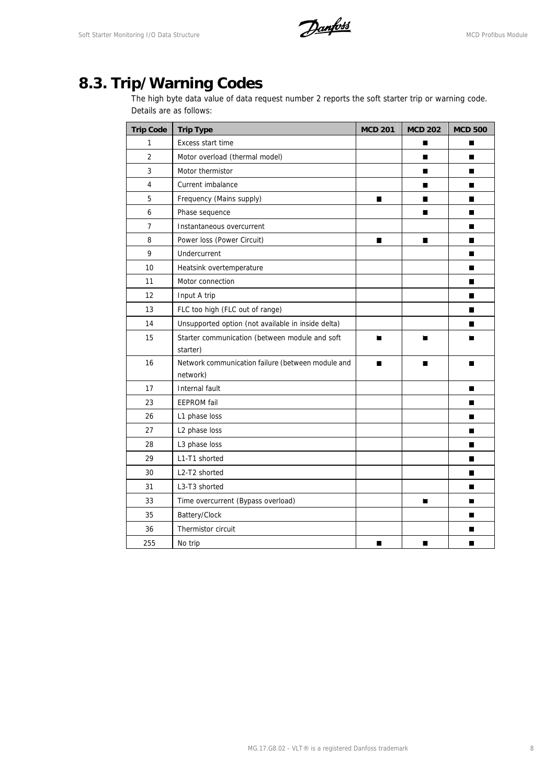Soft Starter Monitoring I/O Data Structure **Manufost** MCD Profibus Module

## **8.3. Trip/Warning Codes**

The high byte data value of data request number 2 reports the soft starter trip or warning code. Details are as follows:

| <b>Trip Code</b> | <b>Trip Type</b>                                              | <b>MCD 201</b> | <b>MCD 202</b> | <b>MCD 500</b> |
|------------------|---------------------------------------------------------------|----------------|----------------|----------------|
| 1                | <b>Excess start time</b>                                      |                | п              | H              |
| $\overline{2}$   | Motor overload (thermal model)                                |                | ■              | Ш              |
| $\mathbf{3}$     | Motor thermistor                                              |                | $\blacksquare$ | П              |
| $\overline{4}$   | Current imbalance                                             |                | П              | П              |
| 5                | Frequency (Mains supply)                                      | $\blacksquare$ | П              | П              |
| 6                | Phase sequence                                                |                | П              | П              |
| $\overline{7}$   | Instantaneous overcurrent                                     |                |                | ш              |
| 8                | Power loss (Power Circuit)                                    | п              | п              | П              |
| 9                | Undercurrent                                                  |                |                | П              |
| 10               | Heatsink overtemperature                                      |                |                | П              |
| 11               | Motor connection                                              |                |                | П              |
| 12               | Input A trip                                                  |                |                | П              |
| 13               | FLC too high (FLC out of range)                               |                |                | П              |
| 14               | Unsupported option (not available in inside delta)            |                |                | П              |
| 15               | Starter communication (between module and soft                | П              | ш              | Ш              |
|                  | starter)                                                      |                |                |                |
| 16               | Network communication failure (between module and<br>network) | п              | п              |                |
| 17               | Internal fault                                                |                |                | П              |
| 23               | <b>EEPROM</b> fail                                            |                |                | ш              |
| 26               | L1 phase loss                                                 |                |                | П              |
| 27               | L2 phase loss                                                 |                |                | П              |
| 28               | L3 phase loss                                                 |                |                | П              |
| 29               | L1-T1 shorted                                                 |                |                | П              |
| 30               | L2-T2 shorted                                                 |                |                | П              |
| 31               | L3-T3 shorted                                                 |                |                | П              |
| 33               | Time overcurrent (Bypass overload)                            |                | П              | П              |
| 35               | Battery/Clock                                                 |                |                | П              |
| 36               | Thermistor circuit                                            |                |                | П              |
| 255              | No trip                                                       | П              | П              | П              |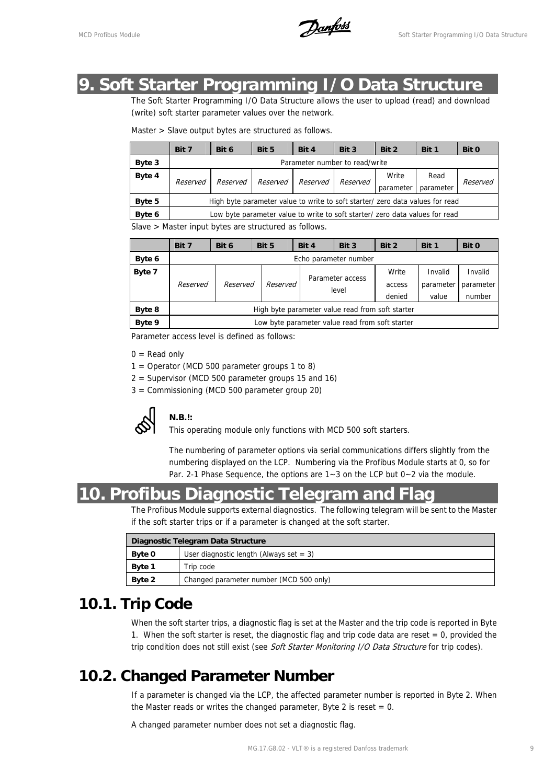MCD Profibus Module **Soft Starter Programming I/O Data Structure** 

#### **9. Soft Starter Programming I/O Data Structure**

The Soft Starter Programming I/O Data Structure allows the user to upload (read) and download (write) soft starter parameter values over the network.

|        | Bit 7                                                                         | Bit 6    | Bit 5    | Bit 4    | Bit 3    | Bit 2              | Bit 1             | Bit 0    |
|--------|-------------------------------------------------------------------------------|----------|----------|----------|----------|--------------------|-------------------|----------|
| Byte 3 | Parameter number to read/write                                                |          |          |          |          |                    |                   |          |
| Byte 4 | Reserved                                                                      | Reserved | Reserved | Reserved | Reserved | Write<br>parameter | Read<br>parameter | Reserved |
| Byte 5 | High byte parameter value to write to soft starter/ zero data values for read |          |          |          |          |                    |                   |          |
| Byte 6 | Low byte parameter value to write to soft starter/ zero data values for read  |          |          |          |          |                    |                   |          |

Slave > Master input bytes are structured as follows.

|        | Bit 7                                            | Bit 6    | Bit 5    | Bit 4 | Bit 3                     | Bit 2  | Bit 1     | Bit 0     |
|--------|--------------------------------------------------|----------|----------|-------|---------------------------|--------|-----------|-----------|
| Byte 6 | Echo parameter number                            |          |          |       |                           |        |           |           |
| Byte 7 |                                                  |          |          |       | Parameter access<br>level |        | Invalid   | Invalid   |
|        | Reserved                                         | Reserved | Reserved |       |                           |        | parameter | parameter |
|        |                                                  |          |          |       |                           | denied | value     | number    |
| Byte 8 | High byte parameter value read from soft starter |          |          |       |                           |        |           |           |
| Byte 9 | Low byte parameter value read from soft starter  |          |          |       |                           |        |           |           |

Parameter access level is defined as follows:

 $0 =$  Read only

- $1 =$  Operator (MCD 500 parameter groups 1 to 8)
- 2 = Supervisor (MCD 500 parameter groups 15 and 16)
- 3 = Commissioning (MCD 500 parameter group 20)



**N.B.!:**

This operating module only functions with MCD 500 soft starters.

The numbering of parameter options via serial communications differs slightly from the numbering displayed on the LCP. Numbering via the Profibus Module starts at 0, so for Par. 2-1 Phase Sequence, the options are 1~3 on the LCP but 0~2 via the module.

#### **10. Profibus Diagnostic Telegram and Flag**

The Profibus Module supports external diagnostics. The following telegram will be sent to the Master if the soft starter trips or if a parameter is changed at the soft starter.

| Diagnostic Telegram Data Structure |                                           |  |  |  |
|------------------------------------|-------------------------------------------|--|--|--|
| <b>Byte 0</b>                      | User diagnostic length (Always set $=$ 3) |  |  |  |
| <b>Byte 1</b>                      | Trip code                                 |  |  |  |
| Byte 2                             | Changed parameter number (MCD 500 only)   |  |  |  |

#### **10.1. Trip Code**

When the soft starter trips, a diagnostic flag is set at the Master and the trip code is reported in Byte 1. When the soft starter is reset, the diagnostic flag and trip code data are reset  $= 0$ , provided the trip condition does not still exist (see Soft Starter Monitoring I/O Data Structure for trip codes).

#### **10.2. Changed Parameter Number**

If a parameter is changed via the LCP, the affected parameter number is reported in Byte 2. When the Master reads or writes the changed parameter, Byte 2 is reset  $= 0$ .

A changed parameter number does not set a diagnostic flag.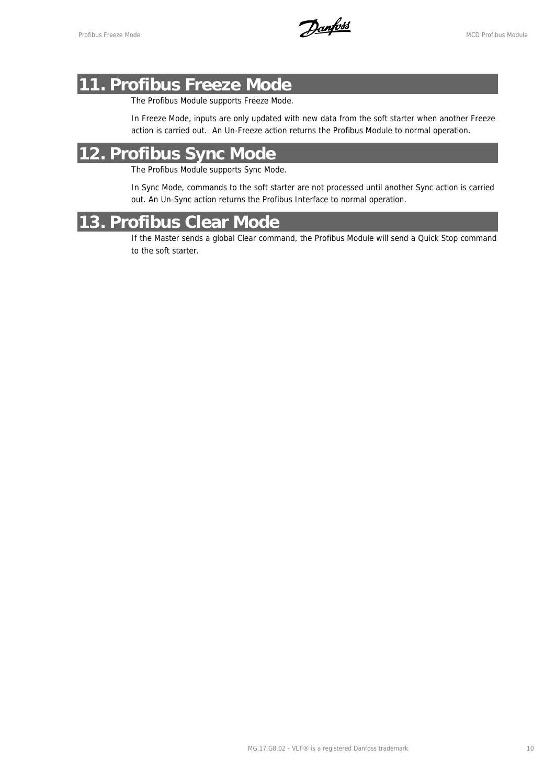Profibus Freeze Mode<br>MCD Profibus Module

### **11. Profibus Freeze Mode**

The Profibus Module supports Freeze Mode.

In Freeze Mode, inputs are only updated with new data from the soft starter when another Freeze action is carried out. An Un-Freeze action returns the Profibus Module to normal operation.

### **12. Profibus Sync Mode**

The Profibus Module supports Sync Mode.

In Sync Mode, commands to the soft starter are not processed until another Sync action is carried out. An Un-Sync action returns the Profibus Interface to normal operation.

#### **13. Profibus Clear Mode**

If the Master sends a global Clear command, the Profibus Module will send a Quick Stop command to the soft starter.